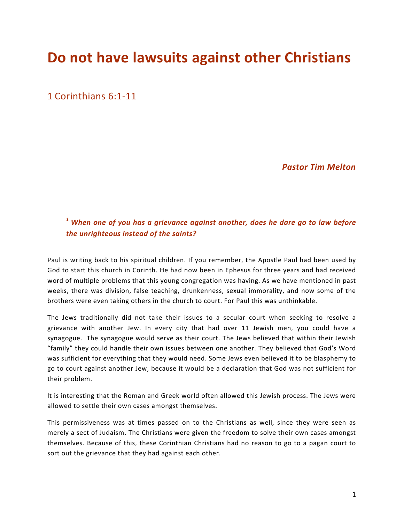# **Do not have lawsuits against other Christians**

1 Corinthians 6:1-11

*Pastor Tim Melton*

## <sup>1</sup> When one of you has a grievance against another, does he dare go to law before *the unrighteous instead of the saints?*

Paul is writing back to his spiritual children. If you remember, the Apostle Paul had been used by God to start this church in Corinth. He had now been in Ephesus for three years and had received word of multiple problems that this young congregation was having. As we have mentioned in past weeks, there was division, false teaching, drunkenness, sexual immorality, and now some of the brothers were even taking others in the church to court. For Paul this was unthinkable.

The Jews traditionally did not take their issues to a secular court when seeking to resolve a grievance with another Jew. In every city that had over 11 Jewish men, you could have a synagogue. The synagogue would serve as their court. The Jews believed that within their Jewish "family" they could handle their own issues between one another. They believed that God's Word was sufficient for everything that they would need. Some Jews even believed it to be blasphemy to go to court against another Jew, because it would be a declaration that God was not sufficient for their problem.

It is interesting that the Roman and Greek world often allowed this Jewish process. The Jews were allowed to settle their own cases amongst themselves.

This permissiveness was at times passed on to the Christians as well, since they were seen as merely a sect of Judaism. The Christians were given the freedom to solve their own cases amongst themselves. Because of this, these Corinthian Christians had no reason to go to a pagan court to sort out the grievance that they had against each other.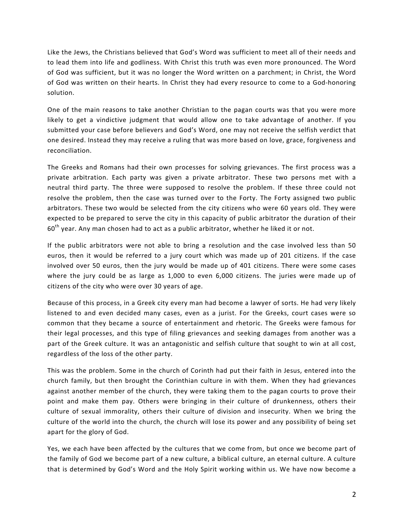Like the Jews, the Christians believed that God's Word was sufficient to meet all of their needs and to lead them into life and godliness. With Christ this truth was even more pronounced. The Word of God was sufficient, but it was no longer the Word written on a parchment; in Christ, the Word of God was written on their hearts. In Christ they had every resource to come to a God-honoring solution.

One of the main reasons to take another Christian to the pagan courts was that you were more likely to get a vindictive judgment that would allow one to take advantage of another. If you submitted your case before believers and God's Word, one may not receive the selfish verdict that one desired. Instead they may receive a ruling that was more based on love, grace, forgiveness and reconciliation.

The Greeks and Romans had their own processes for solving grievances. The first process was a private arbitration. Each party was given a private arbitrator. These two persons met with a neutral third party. The three were supposed to resolve the problem. If these three could not resolve the problem, then the case was turned over to the Forty. The Forty assigned two public arbitrators. These two would be selected from the city citizens who were 60 years old. They were expected to be prepared to serve the city in this capacity of public arbitrator the duration of their  $60<sup>th</sup>$  year. Any man chosen had to act as a public arbitrator, whether he liked it or not.

If the public arbitrators were not able to bring a resolution and the case involved less than 50 euros, then it would be referred to a jury court which was made up of 201 citizens. If the case involved over 50 euros, then the jury would be made up of 401 citizens. There were some cases where the jury could be as large as  $1,000$  to even  $6,000$  citizens. The juries were made up of citizens of the city who were over 30 years of age.

Because of this process, in a Greek city every man had become a lawyer of sorts. He had very likely listened to and even decided many cases, even as a jurist. For the Greeks, court cases were so common that they became a source of entertainment and rhetoric. The Greeks were famous for their legal processes, and this type of filing grievances and seeking damages from another was a part of the Greek culture. It was an antagonistic and selfish culture that sought to win at all cost, regardless of the loss of the other party.

This was the problem. Some in the church of Corinth had put their faith in Jesus, entered into the church family, but then brought the Corinthian culture in with them. When they had grievances against another member of the church, they were taking them to the pagan courts to prove their point and make them pay. Others were bringing in their culture of drunkenness, others their culture of sexual immorality, others their culture of division and insecurity. When we bring the culture of the world into the church, the church will lose its power and any possibility of being set apart for the glory of God.

Yes, we each have been affected by the cultures that we come from, but once we become part of the family of God we become part of a new culture, a biblical culture, an eternal culture. A culture that is determined by God's Word and the Holy Spirit working within us. We have now become a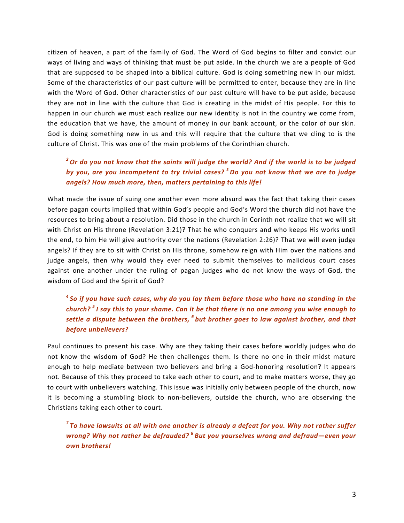citizen of heaven, a part of the family of God. The Word of God begins to filter and convict our ways of living and ways of thinking that must be put aside. In the church we are a people of God that are supposed to be shaped into a biblical culture. God is doing something new in our midst. Some of the characteristics of our past culture will be permitted to enter, because they are in line with the Word of God. Other characteristics of our past culture will have to be put aside, because they are not in line with the culture that God is creating in the midst of His people. For this to happen in our church we must each realize our new identity is not in the country we come from, the education that we have, the amount of money in our bank account, or the color of our skin. God is doing something new in us and this will require that the culture that we cling to is the culture of Christ. This was one of the main problems of the Corinthian church.

#### <sup>2</sup> Or do you not know that the saints will judge the world? And if the world is to be judged by you, are you incompetent to try trivial cases?<sup>3</sup> Do you not know that we are to judge *angels? How much more, then, matters pertaining to this life!*

What made the issue of suing one another even more absurd was the fact that taking their cases before pagan courts implied that within God's people and God's Word the church did not have the resources to bring about a resolution. Did those in the church in Corinth not realize that we will sit with Christ on His throne (Revelation 3:21)? That he who conquers and who keeps His works until the end, to him He will give authority over the nations (Revelation 2:26)? That we will even judge angels? If they are to sit with Christ on His throne, somehow reign with Him over the nations and judge angels, then why would they ever need to submit themselves to malicious court cases against one another under the ruling of pagan judges who do not know the ways of God, the wisdom of God and the Spirit of God?

### <sup>4</sup> So if you have such cases, why do you lay them before those who have no standing in the *church?*<sup>5</sup> *I* say this to your shame. Can it be that there is no one among you wise enough to *settle a dispute between the brothers,* <sup>6</sup> *but brother goes to law against brother, and that before unbelievers?*

Paul continues to present his case. Why are they taking their cases before worldly judges who do not know the wisdom of God? He then challenges them. Is there no one in their midst mature enough to help mediate between two believers and bring a God-honoring resolution? It appears not. Because of this they proceed to take each other to court, and to make matters worse, they go to court with unbelievers watching. This issue was initially only between people of the church, now it is becoming a stumbling block to non-believers, outside the church, who are observing the Christians taking each other to court.

*<sup>7</sup>* To have lawsuits at all with one another is already a defeat for you. Why not rather suffer *wrong?* Why not rather be defrauded?<sup>8</sup> But you yourselves wrong and defraud—even your *own brothers!*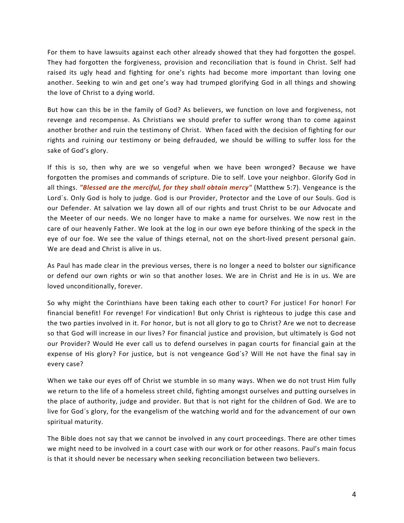For them to have lawsuits against each other already showed that they had forgotten the gospel. They had forgotten the forgiveness, provision and reconciliation that is found in Christ. Self had raised its ugly head and fighting for one's rights had become more important than loving one another. Seeking to win and get one's way had trumped glorifying God in all things and showing the love of Christ to a dying world.

But how can this be in the family of God? As believers, we function on love and forgiveness, not revenge and recompense. As Christians we should prefer to suffer wrong than to come against another brother and ruin the testimony of Christ. When faced with the decision of fighting for our rights and ruining our testimony or being defrauded, we should be willing to suffer loss for the sake of God's glory.

If this is so, then why are we so vengeful when we have been wronged? Because we have forgotten the promises and commands of scripture. Die to self. Love your neighbor. Glorify God in all things. *"Blessed are the merciful, for they shall obtain mercy"* (Matthew 5:7). Vengeance is the Lord's. Only God is holy to judge. God is our Provider, Protector and the Love of our Souls. God is our Defender. At salvation we lay down all of our rights and trust Christ to be our Advocate and the Meeter of our needs. We no longer have to make a name for ourselves. We now rest in the care of our heavenly Father. We look at the log in our own eye before thinking of the speck in the eye of our foe. We see the value of things eternal, not on the short-lived present personal gain. We are dead and Christ is alive in us.

As Paul has made clear in the previous verses, there is no longer a need to bolster our significance or defend our own rights or win so that another loses. We are in Christ and He is in us. We are loved unconditionally, forever.

So why might the Corinthians have been taking each other to court? For justice! For honor! For financial benefit! For revenge! For vindication! But only Christ is righteous to judge this case and the two parties involved in it. For honor, but is not all glory to go to Christ? Are we not to decrease so that God will increase in our lives? For financial justice and provision, but ultimately is God not our Provider? Would He ever call us to defend ourselves in pagan courts for financial gain at the expense of His glory? For justice, but is not vengeance God's? Will He not have the final say in every case?

When we take our eyes off of Christ we stumble in so many ways. When we do not trust Him fully we return to the life of a homeless street child, fighting amongst ourselves and putting ourselves in the place of authority, judge and provider. But that is not right for the children of God. We are to live for God's glory, for the evangelism of the watching world and for the advancement of our own spiritual maturity.

The Bible does not say that we cannot be involved in any court proceedings. There are other times we might need to be involved in a court case with our work or for other reasons. Paul's main focus is that it should never be necessary when seeking reconciliation between two believers.